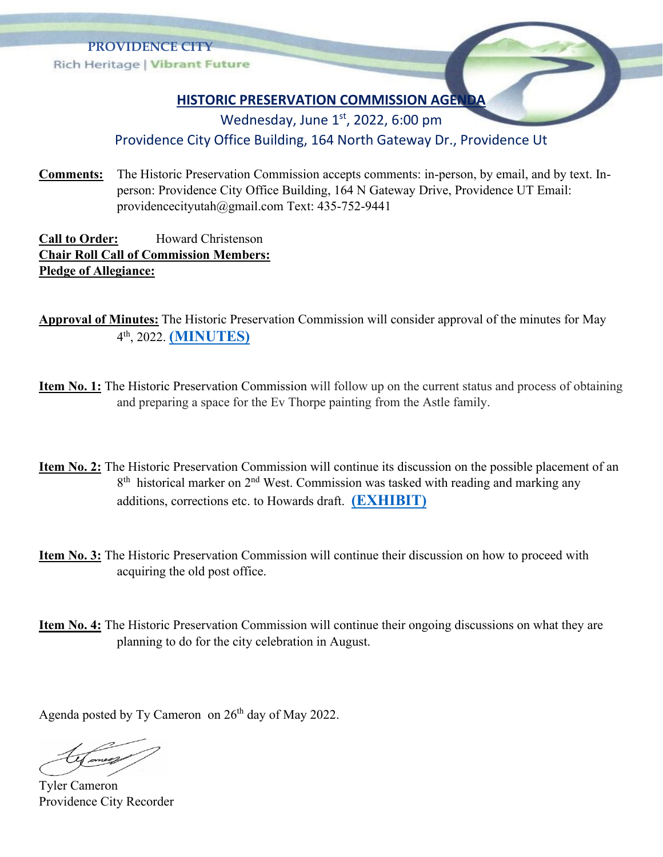

## **HISTORIC PRESERVATION COMMISSION AGENDA**

Wednesday, June  $1<sup>st</sup>$ , 2022, 6:00 pm

## Providence City Office Building, 164 North Gateway Dr., Providence Ut

**Comments:** The Historic Preservation Commission accepts comments: in-person, by email, and by text. Inperson: Providence City Office Building, 164 N Gateway Drive, Providence UT Email: providencecityutah@gmail.com Text: 435-752-9441

**Call to Order:** Howard Christenson **Chair Roll Call of Commission Members: Pledge of Allegiance:**

**Approval of Minutes:** The Historic Preservation Commission will consider approval of the minutes for May 4 th, 2022. **[\(MINUTES\)](https://providencecity.com/wp-content/uploads/2022/05/HPC-May-Minutes-DRAFT.pdf)**

- **Item No. 1:** The Historic Preservation Commission will follow up on the current status and process of obtaining and preparing a space for the Ev Thorpe painting from the Astle family.
- **Item No. 2:** The Historic Preservation Commission will continue its discussion on the possible placement of an 8<sup>th</sup> historical marker on 2<sup>nd</sup> West. Commission was tasked with reading and marking any additions, corrections etc. to Howards draft. **[\(EXHIBIT\)](https://providencecity.com/wp-content/uploads/2022/04/Farming-The-Life-Blood-of-the-Settlement.pdf)**
- **Item No. 3:** The Historic Preservation Commission will continue their discussion on how to proceed with acquiring the old post office.
- **Item No. 4:** The Historic Preservation Commission will continue their ongoing discussions on what they are planning to do for the city celebration in August.

Agenda posted by Ty Cameron on 26<sup>th</sup> day of May 2022.

Tyler Cameron Providence City Recorder